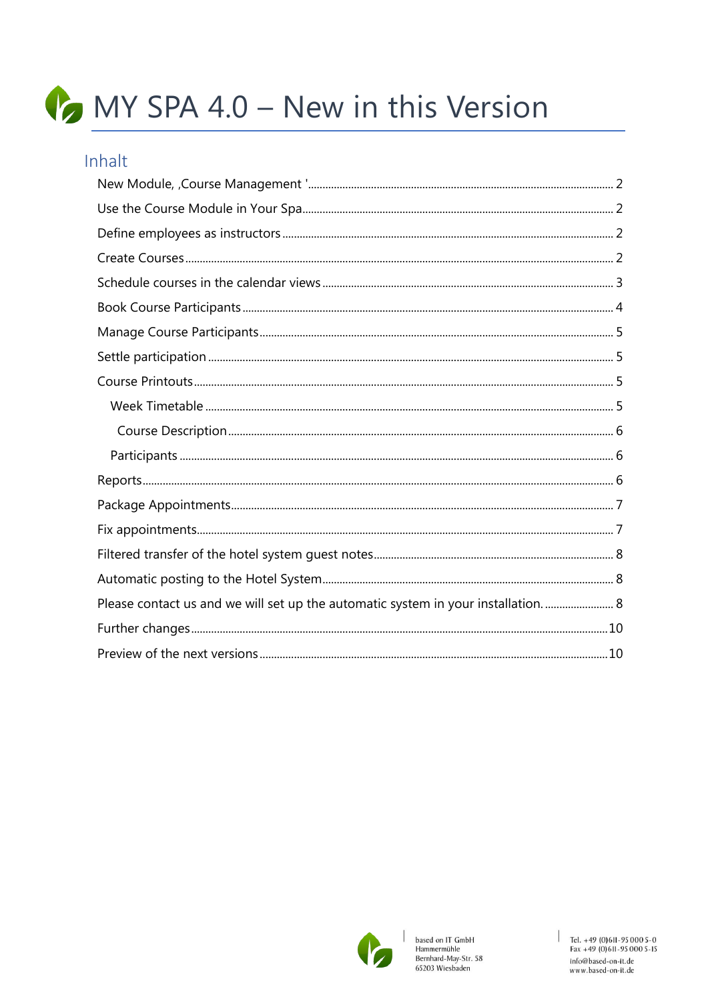# MY SPA 4.0 - New in this Version

#### Inhalt

| Please contact us and we will set up the automatic system in your installation 8 |
|----------------------------------------------------------------------------------|
|                                                                                  |
|                                                                                  |



 $\overline{\phantom{a}}$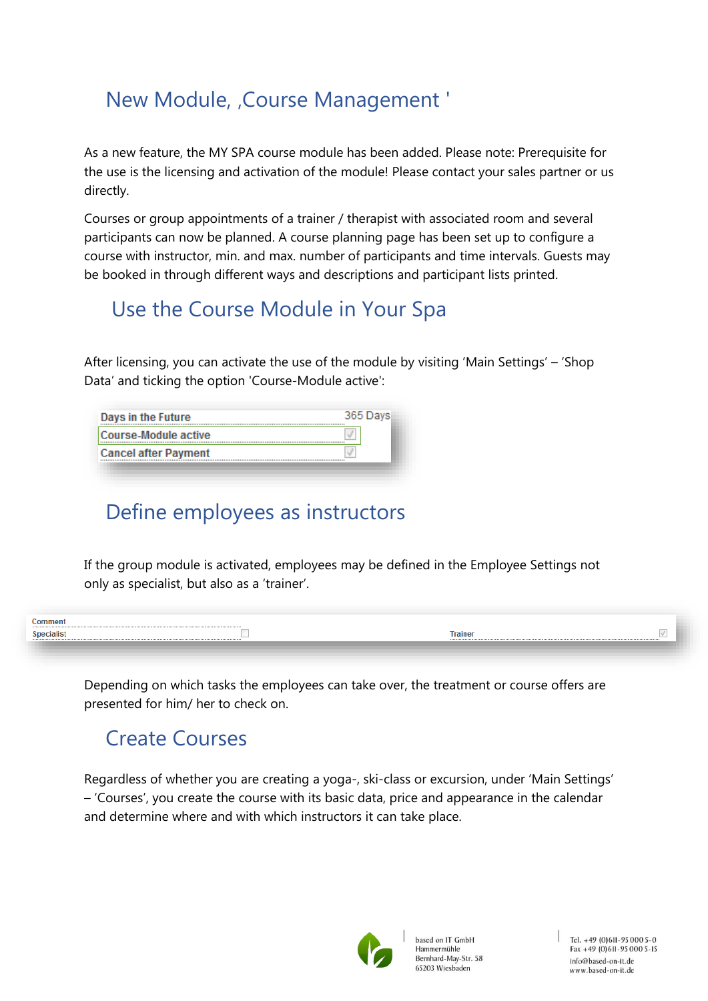### <span id="page-1-0"></span>New Module, , Course Management '

As a new feature, the MY SPA course module has been added. Please note: Prerequisite for the use is the licensing and activation of the module! Please contact your sales partner or us directly.

Courses or group appointments of a trainer / therapist with associated room and several participants can now be planned. A course planning page has been set up to configure a course with instructor, min. and max. number of participants and time intervals. Guests may be booked in through different ways and descriptions and participant lists printed.

### <span id="page-1-1"></span>Use the Course Module in Your Spa

After licensing, you can activate the use of the module by visiting 'Main Settings' – 'Shop Data' and ticking the option 'Course-Module active':

| Days in the Future          | 365 Days |
|-----------------------------|----------|
| Course-Module active        |          |
| <b>Cancel after Payment</b> |          |

### <span id="page-1-2"></span>Define employees as instructors

If the group module is activated, employees may be defined in the Employee Settings not only as specialist, but also as a 'trainer'.

| `omment                |                        |  |
|------------------------|------------------------|--|
| <sup>e</sup> pecialist | <b>Trainer</b><br><br> |  |
|                        |                        |  |

Depending on which tasks the employees can take over, the treatment or course offers are presented for him/ her to check on.

### <span id="page-1-3"></span>Create Courses

Regardless of whether you are creating a yoga-, ski-class or excursion, under 'Main Settings' – 'Courses', you create the course with its basic data, price and appearance in the calendar and determine where and with which instructors it can take place.

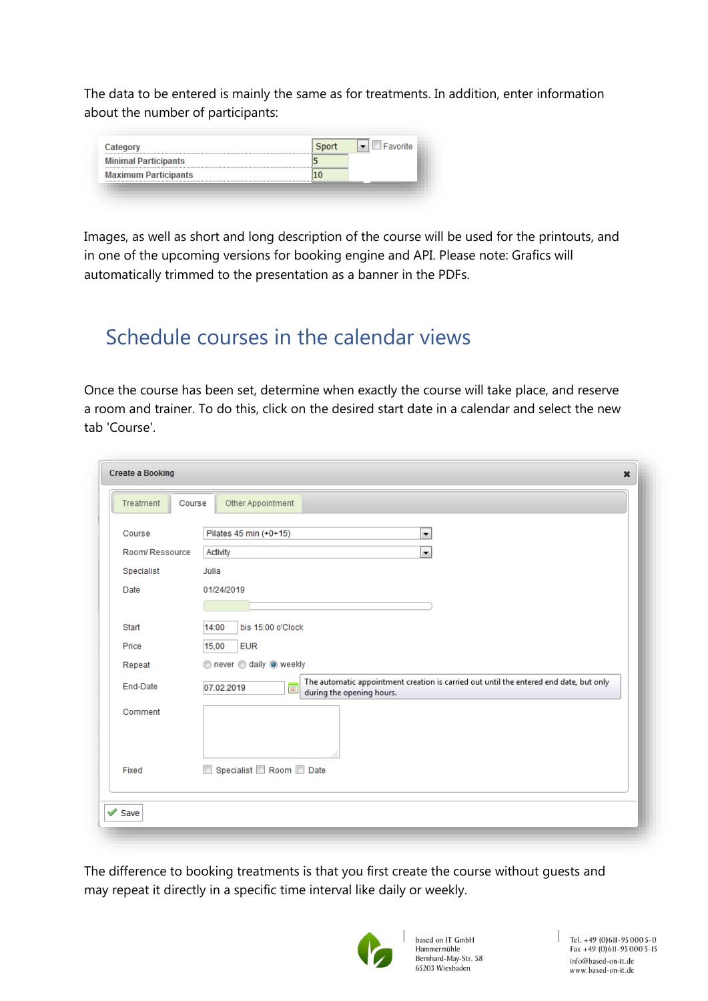The data to be entered is mainly the same as for treatments. In addition, enter information about the number of participants:

| Category                    |  |
|-----------------------------|--|
| <b>Minimal Participants</b> |  |
| <b>Maximum Participants</b> |  |

Images, as well as short and long description of the course will be used for the printouts, and in one of the upcoming versions for booking engine and API. Please note: Grafics will automatically trimmed to the presentation as a banner in the PDFs.

### <span id="page-2-0"></span>Schedule courses in the calendar views

Once the course has been set, determine when exactly the course will take place, and reserve a room and trainer. To do this, click on the desired start date in a calendar and select the new tab 'Course'.

| Treatment<br>Course | Other Appointment                                                                                                                                            |
|---------------------|--------------------------------------------------------------------------------------------------------------------------------------------------------------|
| Course              | Pilates 45 min (+0+15)<br>$\blacksquare$                                                                                                                     |
| Room/Ressource      | $\overline{\phantom{a}}$<br>Activity                                                                                                                         |
| Specialist          | Julia                                                                                                                                                        |
| Date                | 01/24/2019                                                                                                                                                   |
|                     |                                                                                                                                                              |
| Start               | bis 15:00 o'Clock<br>14:00                                                                                                                                   |
| Price               | 15,00<br><b>EUR</b>                                                                                                                                          |
| Repeat              | never daily o weekly                                                                                                                                         |
| End-Date            | The automatic appointment creation is carried out until the entered end date, but only<br>07.02.2019<br>$\overline{\mathbf{H}}$<br>during the opening hours. |
| Comment             | A                                                                                                                                                            |
| Fixed               | Specialist Room Date<br>$\overline{\mathbb{R}^n}$                                                                                                            |

The difference to booking treatments is that you first create the course without guests and may repeat it directly in a specific time interval like daily or weekly.



based on IT GmbH Hammermühle Bernhard-May-Str. 58 65203 Wiesbaden

Tel. +49 (0) 6II-95 000 5-0<br>Fax +49 (0) 6II-95 000 5-15 info@based-on-it.de www.based-on-it.de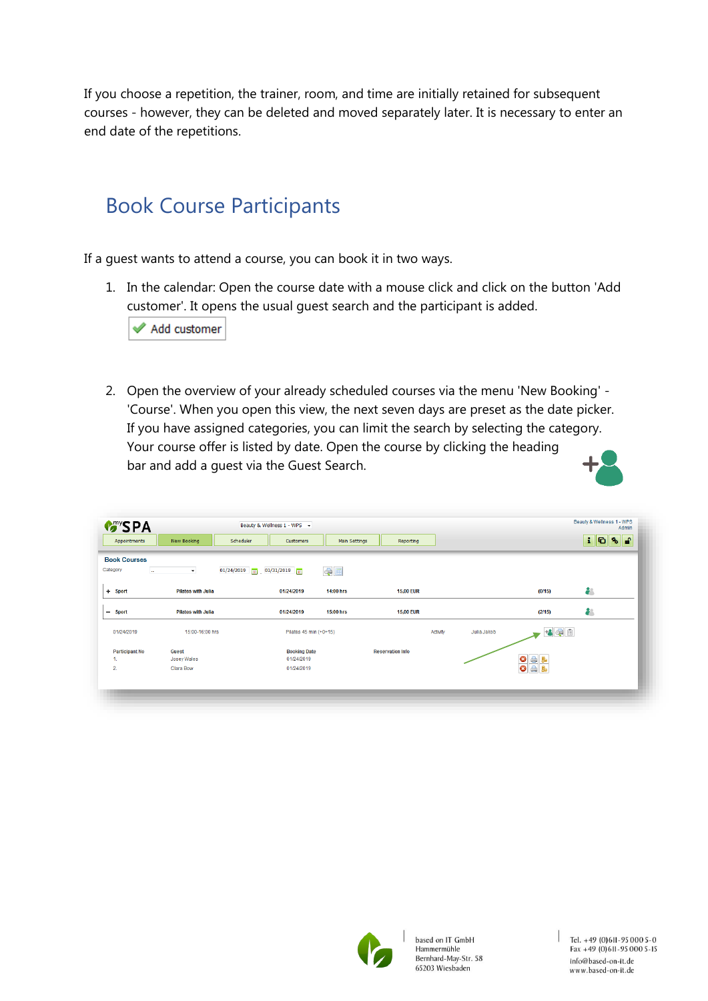If you choose a repetition, the trainer, room, and time are initially retained for subsequent courses - however, they can be deleted and moved separately later. It is necessary to enter an end date of the repetitions.

### <span id="page-3-0"></span>Book Course Participants

If a guest wants to attend a course, you can book it in two ways.

1. In the calendar: Open the course date with a mouse click and click on the button 'Add customer'. It opens the usual guest search and the participant is added.

Add customer

2. Open the overview of your already scheduled courses via the menu 'New Booking' - 'Course'. When you open this view, the next seven days are preset as the date picker. If you have assigned categories, you can limit the search by selecting the category. Your course offer is listed by date. Open the course by clicking the heading bar and add a guest via the Guest Search.



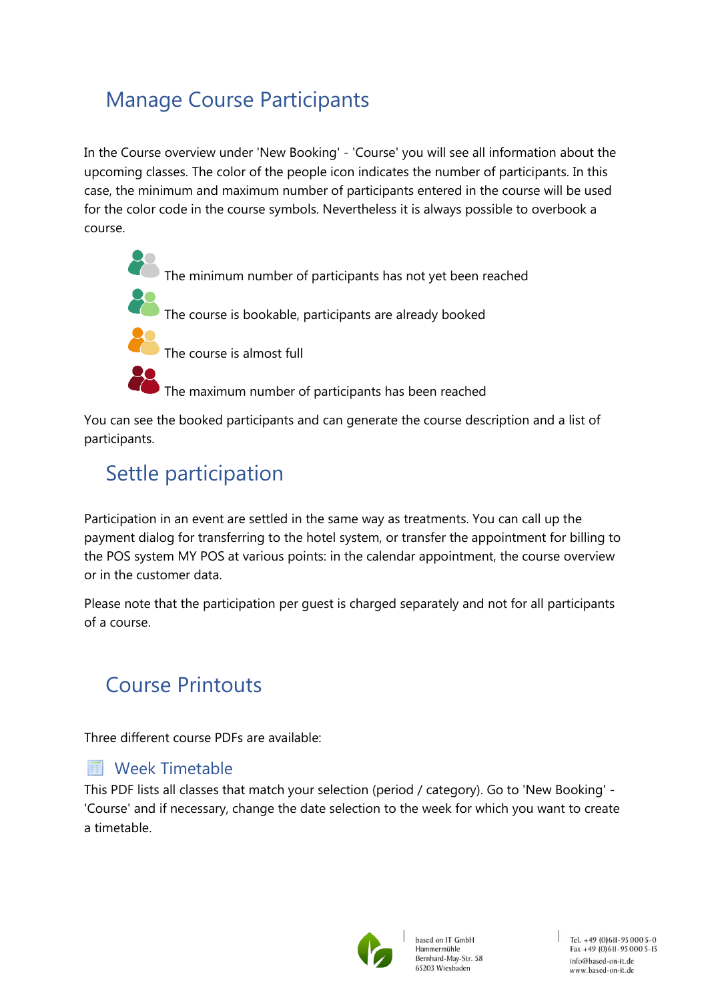### <span id="page-4-0"></span>Manage Course Participants

In the Course overview under 'New Booking' - 'Course' you will see all information about the upcoming classes. The color of the people icon indicates the number of participants. In this case, the minimum and maximum number of participants entered in the course will be used for the color code in the course symbols. Nevertheless it is always possible to overbook a course.



You can see the booked participants and can generate the course description and a list of participants.

### <span id="page-4-1"></span>Settle participation

Participation in an event are settled in the same way as treatments. You can call up the payment dialog for transferring to the hotel system, or transfer the appointment for billing to the POS system MY POS at various points: in the calendar appointment, the course overview or in the customer data.

Please note that the participation per guest is charged separately and not for all participants of a course.

### <span id="page-4-2"></span>Course Printouts

Three different course PDFs are available:

#### <span id="page-4-3"></span>**■ Week Timetable**

This PDF lists all classes that match your selection (period / category). Go to 'New Booking' - 'Course' and if necessary, change the date selection to the week for which you want to create a timetable.

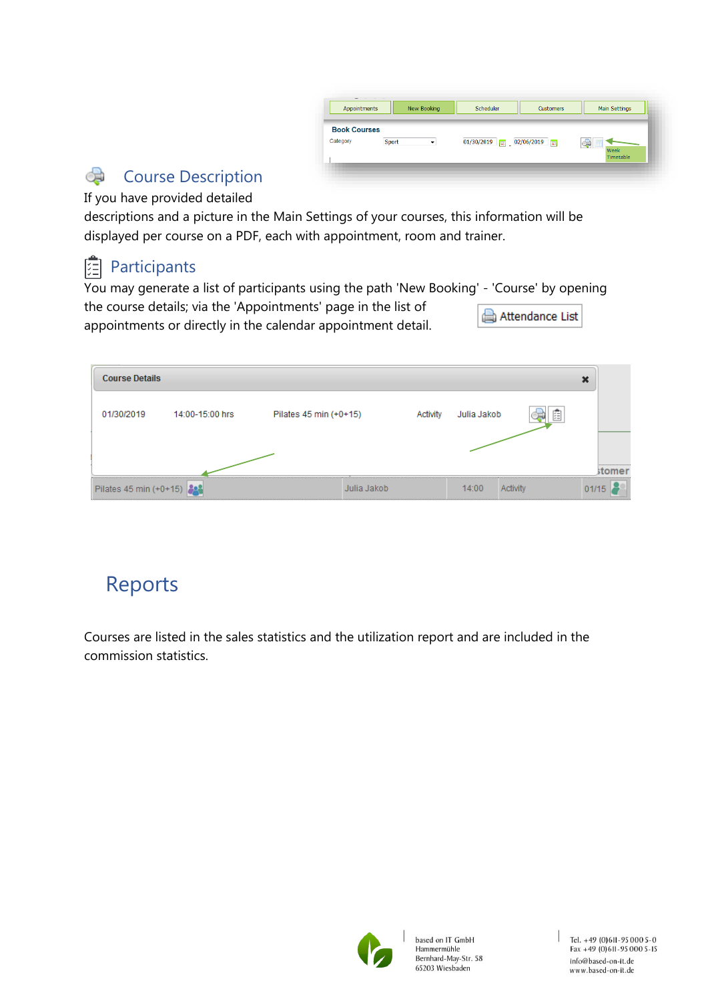| Appointments                             | New Booking | Scheduler  | <b>Customers</b>       | Main Settings           |
|------------------------------------------|-------------|------------|------------------------|-------------------------|
| <b>Book Courses</b><br>Category<br>Sport | $\bullet$   | 01/30/2019 | $\boxed{2}$ 02/06/2019 | ਼ਰ<br>Week<br>Timetable |

#### <span id="page-5-0"></span>c Course Description

If you have provided detailed

descriptions and a picture in the Main Settings of your courses, this information will be displayed per course on a PDF, each with appointment, room and trainer.

### <span id="page-5-1"></span>图 Participants

You may generate a list of participants using the path 'New Booking' - 'Course' by opening the course details; via the 'Appointments' page in the list of Attendance List appointments or directly in the calendar appointment detail.

| <b>Course Details</b>  |                 |                        |          |             |   | ж                                  |
|------------------------|-----------------|------------------------|----------|-------------|---|------------------------------------|
| 01/30/2019             | 14:00-15:00 hrs | Pilates 45 min (+0+15) | Activity | Julia Jakob | E |                                    |
|                        |                 |                        |          |             |   | **********************             |
|                        |                 |                        |          |             |   | ,,,,,,,,,,,,,,,,,,,,,,,,,,,,,,,,,, |
| Pilates 45 min (+0+15) |                 | Julia Jakob            |          | 14:00       |   | 01/15                              |

### <span id="page-5-2"></span>Reports

Courses are listed in the sales statistics and the utilization report and are included in the commission statistics.

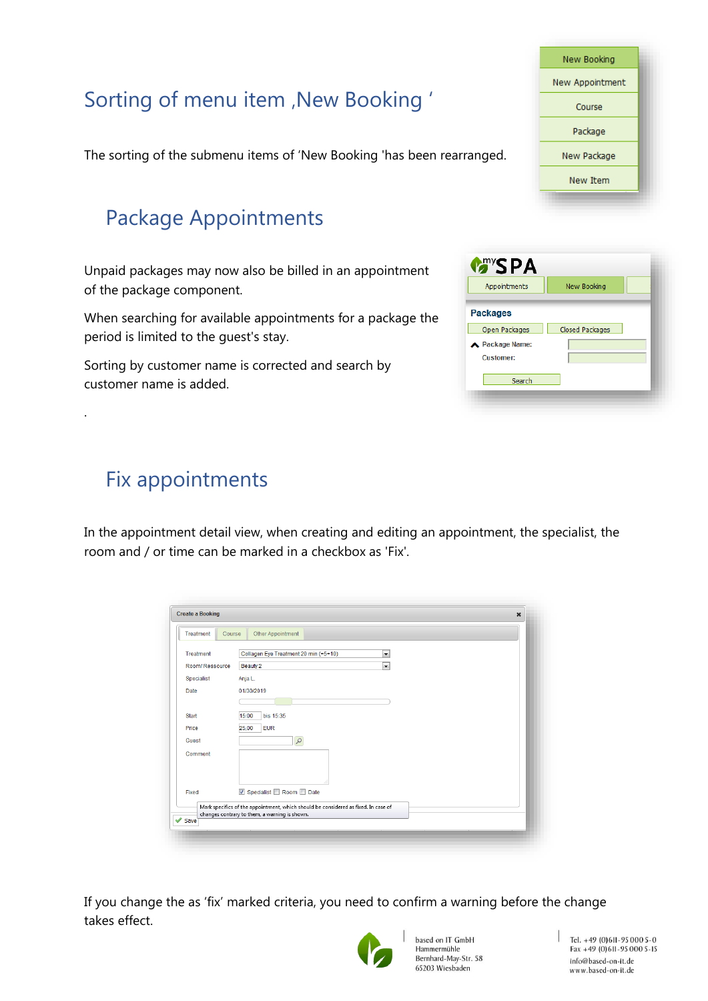|                                                                        | New Booking     |
|------------------------------------------------------------------------|-----------------|
|                                                                        | New Appointment |
| Sorting of menu item , New Booking '                                   | Course          |
|                                                                        | Package         |
| The sorting of the submenu items of 'New Booking 'has been rearranged. | New Package     |
|                                                                        | New Item        |
| <b>Package Appointments</b>                                            |                 |

**Many SPA** 

Appointments

Open Packages

Search

Package Name: Customer:

**Packages** 

New Booking

Closed Packages

<span id="page-6-0"></span>Unpaid packages may now also be billed in an appointment of the package component.

When searching for available appointments for a package the period is limited to the guest's stay.

Sorting by customer name is corrected and search by customer name is added.

<span id="page-6-1"></span>

| <b>Fix appointments</b> |
|-------------------------|
|-------------------------|

.

In the appointment detail view, when creating and editing an appointment, the specialist, the room and / or time can be marked in a checkbox as 'Fix'.

| Treatment<br>Course | Other Appointment                                                                                                                   |
|---------------------|-------------------------------------------------------------------------------------------------------------------------------------|
| Treatment           | Collagen Eye Treatment 20 min (+5+10)<br>$\overline{\phantom{a}}$                                                                   |
| Room/Ressource      | Beauty 2<br>$\overline{\phantom{a}}$                                                                                                |
| Specialist          | Anja L.                                                                                                                             |
| Date                | 01/30/2019                                                                                                                          |
| <b>Start</b>        | 15:00<br>bis 15:35                                                                                                                  |
| Price               | 25,00<br><b>EUR</b>                                                                                                                 |
| Guest               | $\mathcal{P}$                                                                                                                       |
| Comment             |                                                                                                                                     |
| Fixed               | V Specialist Room Date                                                                                                              |
| $\vee$ Save         | Mark specifics of the appointment, which should be considered as fixed. In case of<br>changes contrary to them, a warning is shown. |

If you change the as 'fix' marked criteria, you need to confirm a warning before the change takes effect.



based on IT GmbH Hammermühle Bernhard-May-Str. 58 65203 Wiesbaden

Tel. +49 (0)611-95 000 5-0<br>Fax +49 (0)611-95 000 5-15 info@based-on-it.de www.based-on-it.de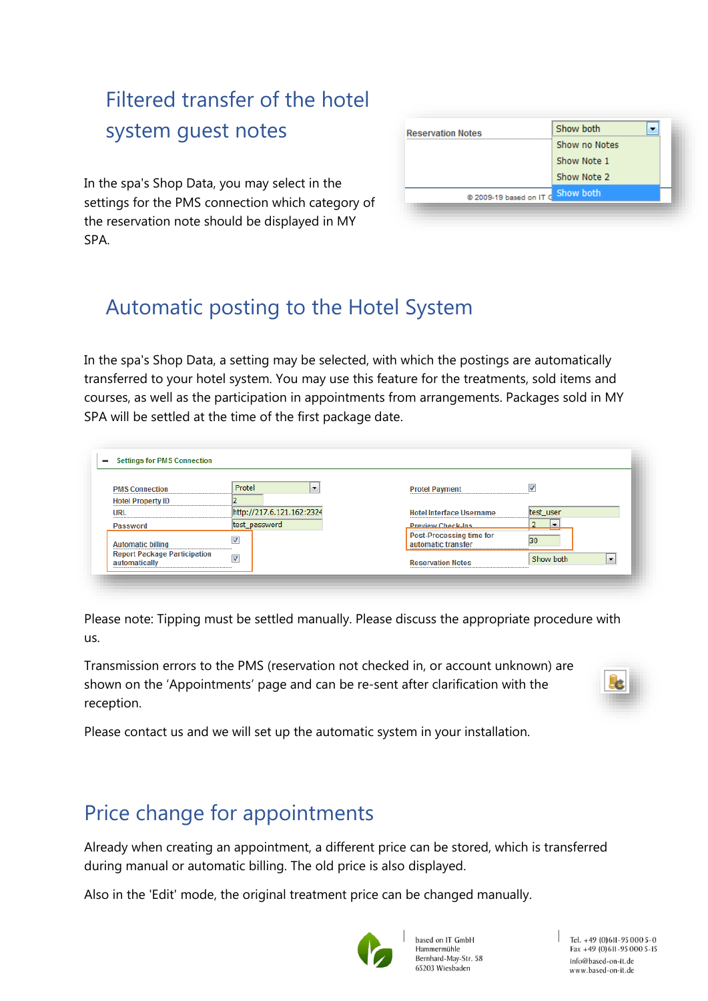## <span id="page-7-0"></span>Filtered transfer of the hotel system guest notes

In the spa's Shop Data, you may select in the settings for the PMS connection which category of the reservation note should be displayed in MY SPA.

| <b>Reservation Notes</b> | Show both     |
|--------------------------|---------------|
|                          | Show no Notes |
|                          | Show Note 1   |
|                          | Show Note 2   |
| @ 2009-19 based on IT G  | Show both     |

### <span id="page-7-1"></span>Automatic posting to the Hotel System

In the spa's Shop Data, a setting may be selected, with which the postings are automatically transferred to your hotel system. You may use this feature for the treatments, sold items and courses, as well as the participation in appointments from arrangements. Packages sold in MY SPA will be settled at the time of the first package date.

|                          | Protel<br>$\overline{\phantom{a}}$ |                                                      |
|--------------------------|------------------------------------|------------------------------------------------------|
| <b>PMS Connection</b>    |                                    | <b>Protel Payment</b>                                |
| <b>Hotel Property ID</b> |                                    |                                                      |
| URL                      | http://217.6.121.162:2324          | test_user<br><b>Hotel Interface Username</b>         |
| Password                 | test_password                      | <b>Preview Check-Ins</b><br>$\overline{\phantom{a}}$ |
|                          | $\overline{\mathcal{A}}$           | <b>Post-Processing time for</b><br>30                |
| <b>Automatic billing</b> |                                    | automatic transfer                                   |

Please note: Tipping must be settled manually. Please discuss the appropriate procedure with us.

Transmission errors to the PMS (reservation not checked in, or account unknown) are shown on the 'Appointments' page and can be re-sent after clarification with the reception.



<span id="page-7-2"></span>Please contact us and we will set up the automatic system in your installation.

### Price change for appointments

Already when creating an appointment, a different price can be stored, which is transferred during manual or automatic billing. The old price is also displayed.

Also in the 'Edit' mode, the original treatment price can be changed manually.



based on IT GmbH Hammermühle Bernhard-May-Str. 58 65203 Wiesbaden

Tel. +49 (0)611-95 000 5-0  $Fax + 49(0)611 - 950005 - 15$ info@based-on-it.de www.based-on-it.de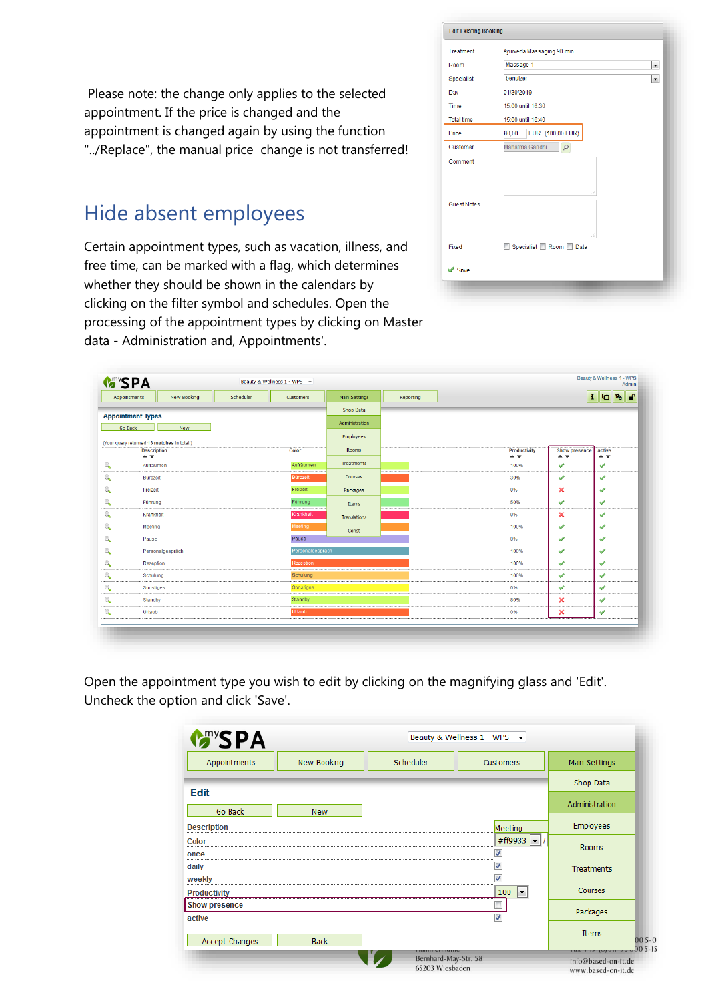Please note: the change only applies to the selected appointment. If the price is changed and the appointment is changed again by using the function "../Replace", the manual price change is not transferred!

### Hide absent employees

Certain appointment types, such as vacation, illness, and free time, can be marked with a flag, which determines whether they should be shown in the calendars by clicking on the filter symbol and schedules. Open the processing of the appointment types by clicking on Master data - Administration and, Appointments'.

| Treatment          | Ayurveda Massaging 90 min            |  |  |  |  |
|--------------------|--------------------------------------|--|--|--|--|
| Room               | Massage 1<br>$\blacktriangledown$    |  |  |  |  |
| Specialist         | benutzer<br>$\overline{\phantom{a}}$ |  |  |  |  |
| Day                | 01/30/2019                           |  |  |  |  |
| Time               | 15:00 until 16:30                    |  |  |  |  |
| <b>Total time</b>  | 15:00 until 16:40                    |  |  |  |  |
| Price              | EUR (100,00 EUR)<br>80,00            |  |  |  |  |
| Customer           | Mahatma Gandhi<br>ρ                  |  |  |  |  |
| Comment            |                                      |  |  |  |  |
| <b>Guest Notes</b> |                                      |  |  |  |  |
| Fixed              | Specialist Room Date                 |  |  |  |  |
| Save               |                                      |  |  |  |  |

|              | <b>Many SPA</b>                                                                          |                  |           | Beauty & Wellness 1 - WPS - |                                          |           |                                                     |                                                             | Beauty & Wellness 1 - WPS<br>Admin            |
|--------------|------------------------------------------------------------------------------------------|------------------|-----------|-----------------------------|------------------------------------------|-----------|-----------------------------------------------------|-------------------------------------------------------------|-----------------------------------------------|
|              | Appointments                                                                             | New Booking      | Scheduler | Customers                   | Main Settings                            | Reporting |                                                     | $\mathbf{i}$                                                | <b>d</b><br>G<br>杨                            |
|              | <b>Appointment Types</b><br><b>Go Back</b><br>(Your query returned 13 matches in total.) | New              |           |                             | Shop Data<br>Administration<br>Employees |           |                                                     |                                                             |                                               |
|              | <b>Description</b><br>$\triangle$ $\overline{\mathbf{v}}$                                |                  |           | Color                       | Rooms                                    |           | Productivity<br>$\triangle$ $\overline{\mathbf{v}}$ | <b>Show presence</b><br>$\triangle$ $\overline{\mathbf{v}}$ | active<br>$\triangle$ $\overline{\mathbf{v}}$ |
| Q            | Aufräumen                                                                                |                  |           | Aufräumen                   | Treatments                               |           | 100%                                                | ✔                                                           | $\blacktriangledown$                          |
| $\mathbb{Q}$ | Bürozeit                                                                                 |                  |           | Bürozeit                    | Courses                                  |           | 30%                                                 | ✔                                                           | $\checkmark$                                  |
| $\mathbb{Q}$ | Freizeit                                                                                 |                  |           | Freizeit                    | Packages                                 |           | 0%                                                  | ×                                                           | $\checkmark$                                  |
| $\mathbb{Q}$ | Führung                                                                                  |                  |           | <b>Führung</b>              | Items                                    |           | 50%                                                 | ✔                                                           | ✔                                             |
| $\mathbb{Q}$ | Krankheit                                                                                |                  |           | Krankheit                   | Translations                             |           | 0%                                                  | ×                                                           | $\checkmark$                                  |
| $\mathbb{Q}$ | Meeting                                                                                  |                  |           | Meeting                     | Const                                    |           | 100%                                                | ✔                                                           | $\checkmark$                                  |
| $\mathbb{Q}$ | Pause                                                                                    |                  |           | Pause                       |                                          |           | 0%                                                  | $\checkmark$                                                | $\checkmark$                                  |
| $\mathbb{Q}$ |                                                                                          | Personalgespräch |           | Personalgespräch            |                                          |           | 100%                                                | $\checkmark$                                                | $\checkmark$                                  |
| $\mathbb{Q}$ | Rezeption                                                                                |                  |           | Rezeption                   |                                          |           | 100%                                                | ✔                                                           | $\checkmark$                                  |
| $\mathbb{Q}$ | Schulung                                                                                 |                  |           | Schulung                    |                                          |           | 100%                                                | $\checkmark$                                                | $\checkmark$                                  |
| $\mathbb{Q}$ | Sonstiges                                                                                |                  |           | Sonstiges                   |                                          |           | 0%                                                  | ✔                                                           | ✔                                             |
| $\mathbb{Q}$ | Standby                                                                                  |                  |           | Standby                     |                                          |           | 80%                                                 | ×                                                           | ✔                                             |
| $\mathbb{Q}$ | Urlaub                                                                                   |                  |           | Urlaub                      |                                          |           | 0%                                                  | ×                                                           | ✔                                             |

Open the appointment type you wish to edit by clicking on the magnifying glass and 'Edit'. Uncheck the option and click 'Save'.

| <b>Many SPA</b>                |             | Beauty & Wellness 1 - WPS →             |                 |                                           |  |  |  |  |
|--------------------------------|-------------|-----------------------------------------|-----------------|-------------------------------------------|--|--|--|--|
| Appointments                   | New Booking | Scheduler                               | Customers       | Main Settings                             |  |  |  |  |
| <b>Edit</b>                    |             |                                         |                 | Shop Data                                 |  |  |  |  |
| Go Back                        | <b>New</b>  |                                         |                 | Administration                            |  |  |  |  |
| <b>Description</b>             |             |                                         | Meeting         | Employees                                 |  |  |  |  |
| Color                          |             |                                         | #ff9933<br>l wi | Rooms                                     |  |  |  |  |
| once<br>                       |             |                                         |                 |                                           |  |  |  |  |
| daily                          |             |                                         |                 | Treatments                                |  |  |  |  |
| weekly                         |             |                                         |                 | <b>Courses</b>                            |  |  |  |  |
| <b>Productivity</b>            |             |                                         | 100<br>∣≁       |                                           |  |  |  |  |
| <b>Show presence</b><br>active |             |                                         |                 | Packages                                  |  |  |  |  |
|                                |             |                                         |                 | <b>Items</b><br>$005 - 0$                 |  |  |  |  |
| Accept Changes                 | <b>Back</b> | 1 101111115.1 1115.1115                 |                 | $\frac{1}{2}$ = 00 5-15<br>$1$ GA T LA    |  |  |  |  |
|                                |             | Bernhard-May-Str. 58<br>65203 Wiesbaden |                 | info@based-on-it.de<br>www.based-on-it.de |  |  |  |  |